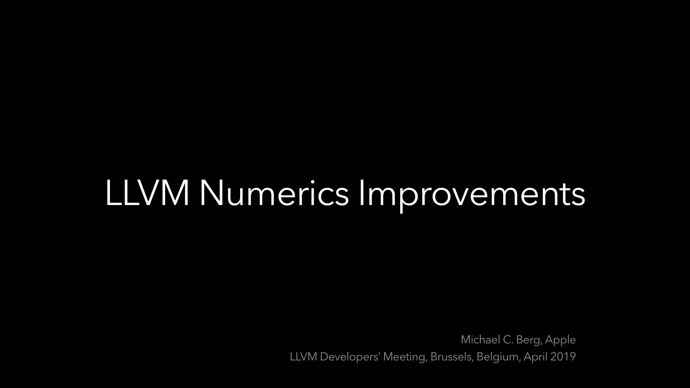Michael C. Berg, Apple LLVM Developers' Meeting, Brussels, Belgium, April 2019

# LLVM Numerics Improvements

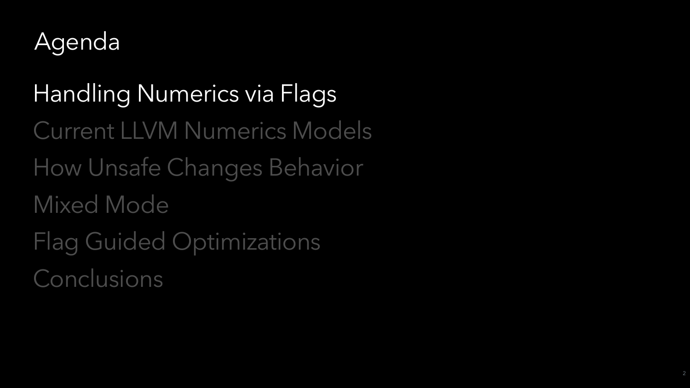

Handling Numerics via Flags Current LLVM Numerics Models How Unsafe Changes Behavior Mixed Mode Flag Guided Optimizations Conclusions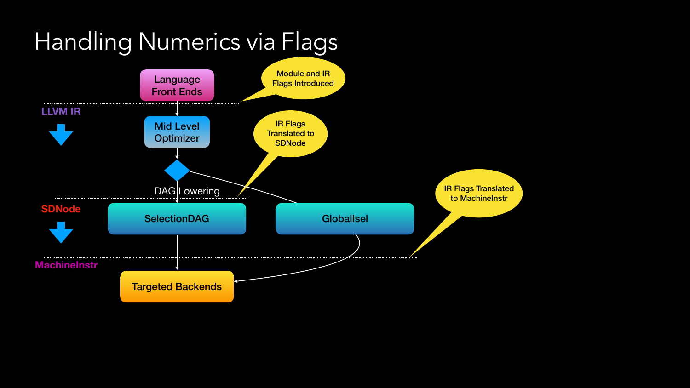Targeted Backends

**SDNode**

IR Flags Translated to MachineInstr

**MachineInstr**



DAG Lowering

**SelectionDAG** 

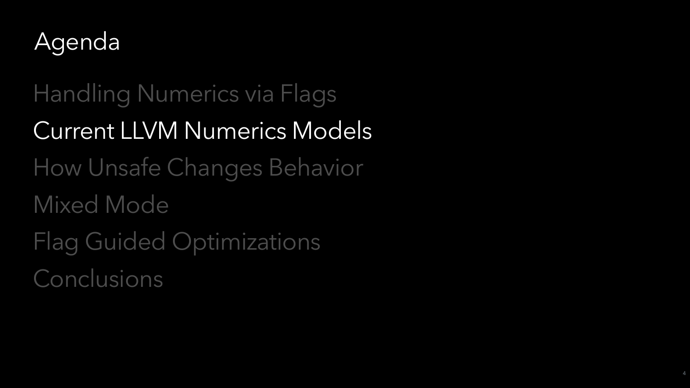

Handling Numerics via Flags Current LLVM Numerics Models How Unsafe Changes Behavior Mixed Mode Flag Guided Optimizations Conclusions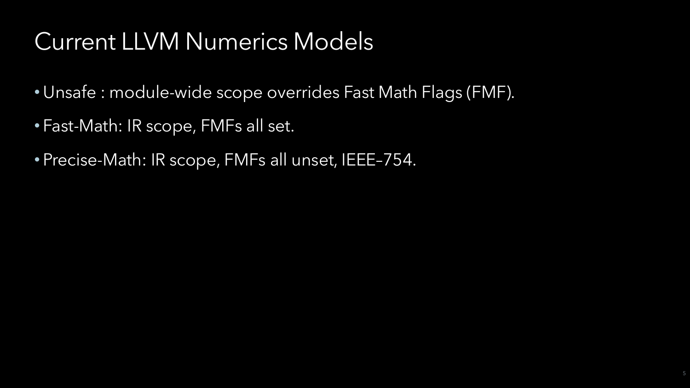- Unsafe : module-wide scope overrides Fast Math Flags (FMF).
- Fast-Math: IR scope, FMFs all set.
- Precise-Math: IR scope, FMFs all unset, IEEE–754.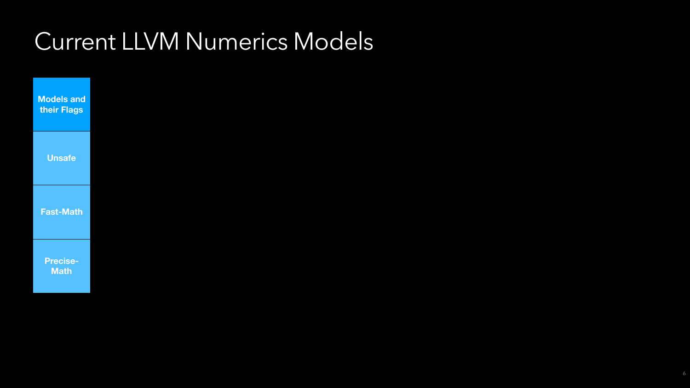

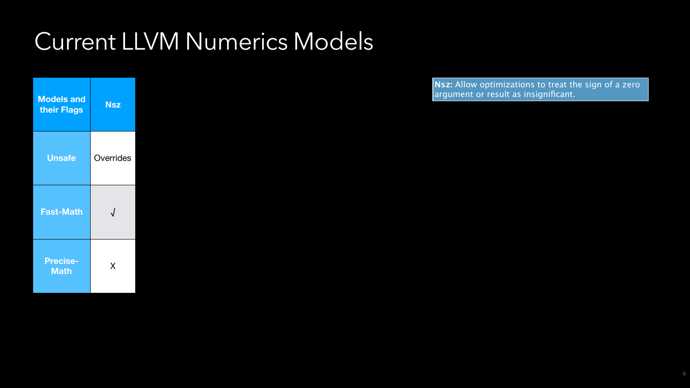**Nsz:** Allow optimizations to treat the sign of a zero argument or result as insignificant.



| <b>Models and</b><br>their Flags | <b>Nsz</b> |
|----------------------------------|------------|
| <b>Unsafe</b>                    | Overrides  |
| <b>Fast-Math</b>                 |            |
| <b>Precise-</b><br><b>Math</b>   | X          |

6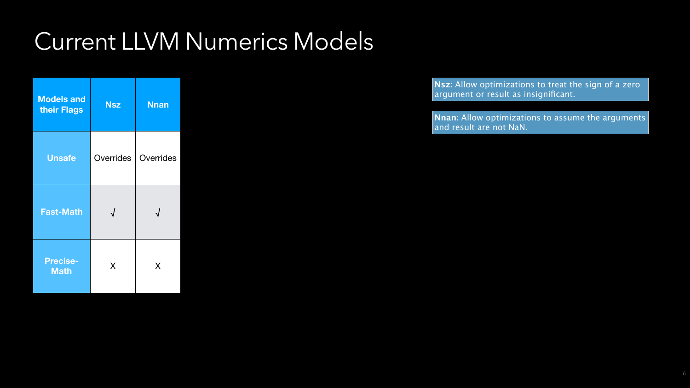| <b>Models and</b><br>their Flags | <b>Nsz</b> | <b>Nnan</b> |
|----------------------------------|------------|-------------|
| <b>Unsafe</b>                    | Overrides  | Overrides   |
| <b>Fast-Math</b>                 |            |             |
| <b>Precise-</b><br><b>Math</b>   | X          | X           |

**Nnan:** Allow optimizations to assume the arguments and result are not NaN.



6

**Nsz:** Allow optimizations to treat the sign of a zero argument or result as insignificant.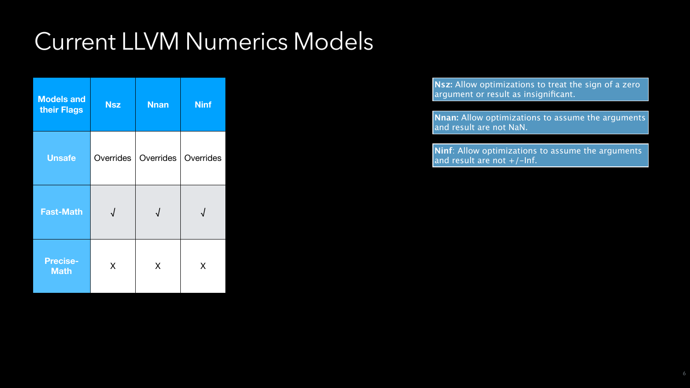**Nsz:** Allow optimizations to treat the sign of a zero argument or result as insignificant.

| <b>Models and</b><br>their Flags | <b>Nsz</b> | <b>Nnan</b> | <b>Ninf</b> |
|----------------------------------|------------|-------------|-------------|
| <b>Unsafe</b>                    | Overrides  | Overrides   | Overrides   |
| <b>Fast-Math</b>                 |            |             |             |
| <b>Precise-</b><br><b>Math</b>   | X          | X           | X           |

**Nnan:** Allow optimizations to assume the arguments and result are not NaN.

6

**Ninf**: Allow optimizations to assume the arguments and result are not +/-Inf.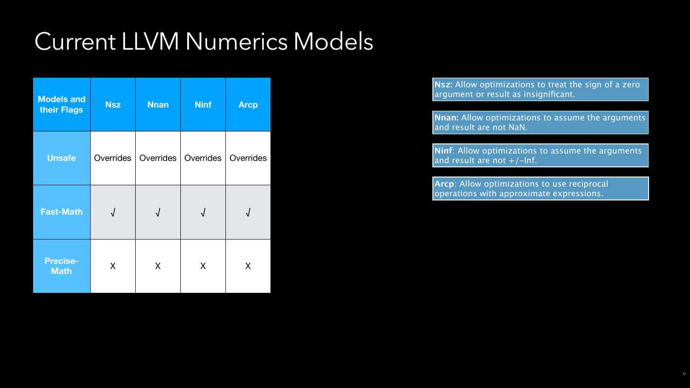| <b>Models and</b><br>their Flags | <b>Nsz</b> | <b>Nnan</b> | <b>Ninf</b> | <b>Arcp</b> |
|----------------------------------|------------|-------------|-------------|-------------|
| <b>Unsafe</b>                    | Overrides  | Overrides   | Overrides   | Overrides   |
| <b>Fast-Math</b>                 | $\sqrt{2}$ | $\sqrt{ }$  |             |             |
| <b>Precise-</b><br><b>Math</b>   | X          |             | X           | X           |

**Ninf**: Allow optimizations to assume the arguments and result are not  $+/-$ Inf.

6

**Nsz:** Allow optimizations to treat the sign of a zero argument or result as insignificant.

**Nnan:** Allow optimizations to assume the arguments and result are not NaN.

**Arcp**: Allow optimizations to use reciprocal operations with approximate expressions.

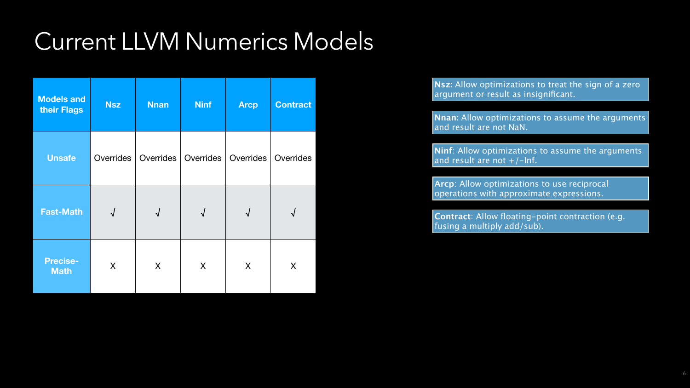| <b>Models and</b><br>their Flags | <b>Nsz</b> | <b>Nnan</b> | <b>Ninf</b> | <b>Arcp</b>               | Contract  |
|----------------------------------|------------|-------------|-------------|---------------------------|-----------|
| <b>Unsafe</b>                    | Overrides  | Overrides   | Overrides   | Overrides                 | Overrides |
| <b>Fast-Math</b>                 | $\sqrt{ }$ | $\sqrt{ }$  | $\sqrt{ }$  | $\boldsymbol{\mathsf{V}}$ | √         |
| <b>Precise-</b><br><b>Math</b>   | X          | X           | X           | X                         | X         |

**Ninf**: Allow optimizations to assume the arguments and result are not  $+/-$ Inf.

6

**Nsz:** Allow optimizations to treat the sign of a zero argument or result as insignificant.

**Nnan:** Allow optimizations to assume the arguments and result are not NaN.

**Arcp**: Allow optimizations to use reciprocal operations with approximate expressions.

**Contract**: Allow floating-point contraction (e.g. fusing a multiply add/sub).

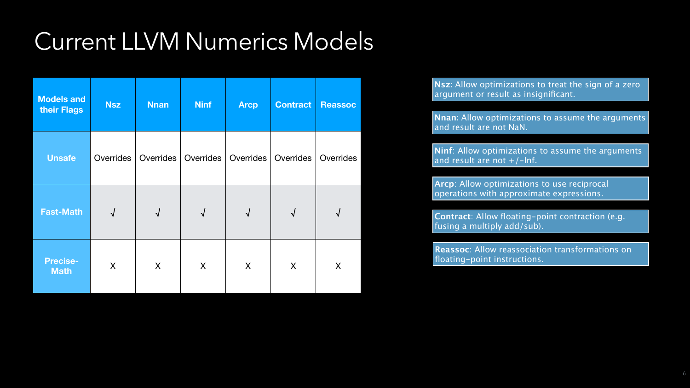| <b>Models and</b><br>their Flags | <b>Nsz</b>       | <b>Nnan</b> | <b>Ninf</b>      | <b>Arcp</b>      | <b>Contract</b> | <b>Reassoc</b> | Nsz: Allow optimizations to treat the sign of a zero<br>argument or result as insignificant.<br>Nnan: Allow optimizations to assume the arguments<br>and result are not NaN.      |
|----------------------------------|------------------|-------------|------------------|------------------|-----------------|----------------|-----------------------------------------------------------------------------------------------------------------------------------------------------------------------------------|
| <b>Unsafe</b>                    | <b>Overrides</b> | Overrides   | <b>Overrides</b> | <b>Overrides</b> | Overrides       | Overrides      | Ninf: Allow optimizations to assume the arguments<br>and result are not +/-Inf.                                                                                                   |
| <b>Fast-Math</b>                 |                  |             |                  |                  |                 |                | <b>Arcp:</b> Allow optimizations to use reciprocal<br>operations with approximate expressions.<br>Contract: Allow floating-point contraction (e.g.<br>fusing a multiply add/sub). |
| <b>Precise-</b><br><b>Math</b>   | X                | X           | X                | X                | X               | X              | <b>Reassoc:</b> Allow reassociation transformations on<br>floating-point instructions.                                                                                            |

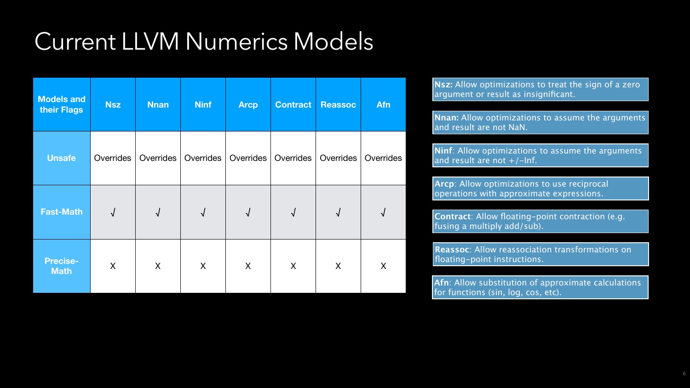6

| <b>Models and</b><br>their Flags | <b>Nsz</b>       | <b>Nnan</b> | <b>Ninf</b>      | <b>Arcp</b>      | <b>Contract</b> | <b>Reassoc</b> | <b>Afn</b>       | Nsz: Allow optimizations to treat the sign of a zero<br>argument or result as insignificant.<br>Nnan: Allow optimizations to assume the arguments<br>and result are not NaN.       |
|----------------------------------|------------------|-------------|------------------|------------------|-----------------|----------------|------------------|------------------------------------------------------------------------------------------------------------------------------------------------------------------------------------|
| <b>Unsafe</b>                    | <b>Overrides</b> | Overrides   | <b>Overrides</b> | <b>Overrides</b> | Overrides       | Overrides      | <b>Overrides</b> | Ninf: Allow optimizations to assume the arguments<br>and result are not $+/-$ Inf.                                                                                                 |
| <b>Fast-Math</b>                 |                  |             |                  |                  |                 |                |                  | <b>Arcp:</b> Allow optimizations to use reciprocal<br>operations with approximate expressions.<br>Contract: Allow floating-point contraction (e.g.<br>fusing a multiply add/sub).  |
| <b>Precise-</b><br><b>Math</b>   | X                | X           | X                | X                | X               |                | X                | <b>Reassoc</b> : Allow reassociation transformations on<br> floating-point instructions.<br>Afn: Allow substitution of approximate calculations<br>for functions (sin log cos atc) |

for functions (sin, log, cos, etc).

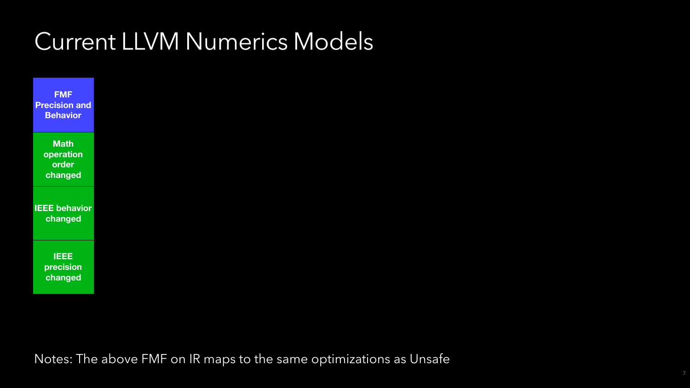**FMF Precision and Behavior**

> **Math operation order changed**

**IEEE behavior changed**

> **IEEE precision changed**

> > 7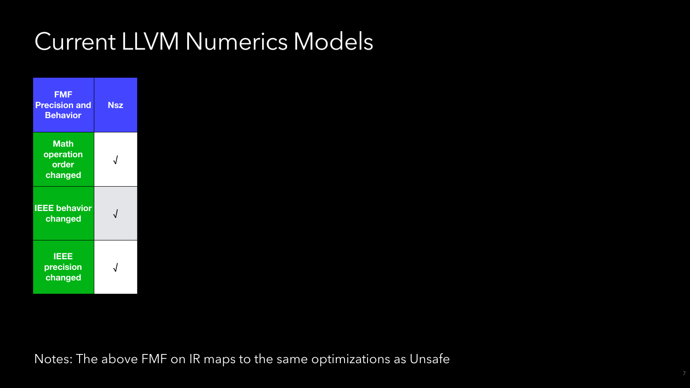| <b>FMF</b><br><b>Precision and</b><br><b>Behavior</b> | <b>Nsz</b> |
|-------------------------------------------------------|------------|
| <b>Math</b><br>operation<br>order<br>changed          |            |
| <b>IEEE</b> behavior<br>changed                       | $\sqrt{}$  |
| IEEE<br>precision<br>changed                          |            |

7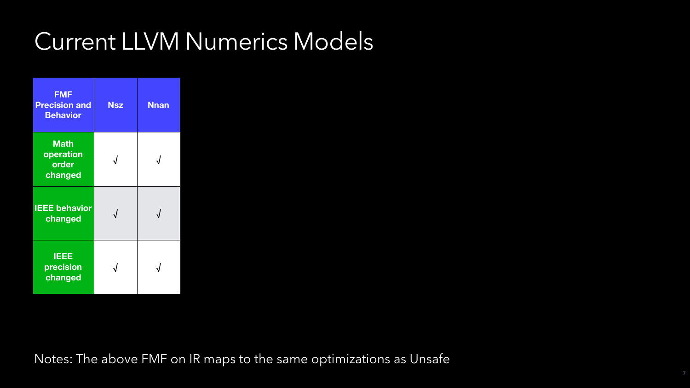| <b>FMF</b><br><b>Precision and</b><br><b>Behavior</b><br><b>Math</b><br>operation | <b>Nsz</b> | <b>Nnan</b> |
|-----------------------------------------------------------------------------------|------------|-------------|
| order<br>changed                                                                  |            |             |
| <b>IEEE</b> behavior<br>changed                                                   |            |             |
| <b>IEEE</b><br>precision<br>changed                                               |            |             |

7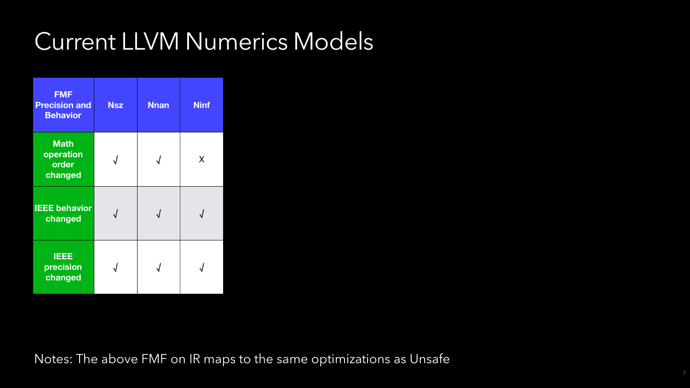| <b>FMF</b><br><b>Precision and</b><br><b>Behavior</b> | <b>Nsz</b> | <b>Nnan</b>             | <b>Ninf</b> |
|-------------------------------------------------------|------------|-------------------------|-------------|
| <b>Math</b><br>operation<br>order<br>changed          |            |                         | X           |
| <b>IEEE behavior</b><br>changed                       |            | $\overline{\mathbf{A}}$ |             |
| <b>IEEE</b><br>precision<br>changed                   |            |                         |             |

7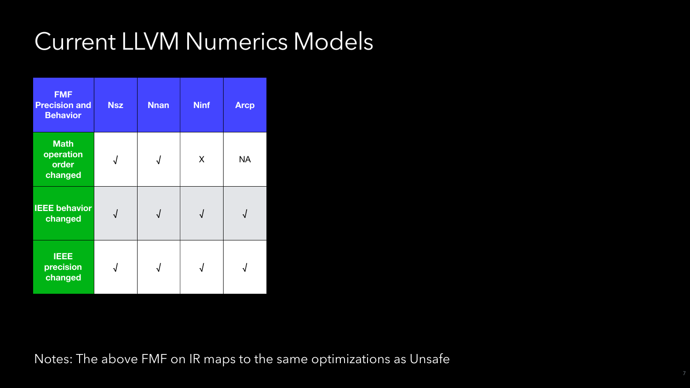| <b>FMF</b><br><b>Precision and</b><br><b>Behavior</b> | <b>Nsz</b> | <b>Nnan</b> | <b>Ninf</b> | <b>Arcp</b> |
|-------------------------------------------------------|------------|-------------|-------------|-------------|
| <b>Math</b><br>operation<br>order<br>changed          |            |             | X           | <b>NA</b>   |
| <b>IEEE behavior</b><br>changed                       | $\sqrt{}$  |             | $\sqrt{ }$  |             |
| <b>IEEE</b><br>precision<br>changed                   |            |             |             |             |

7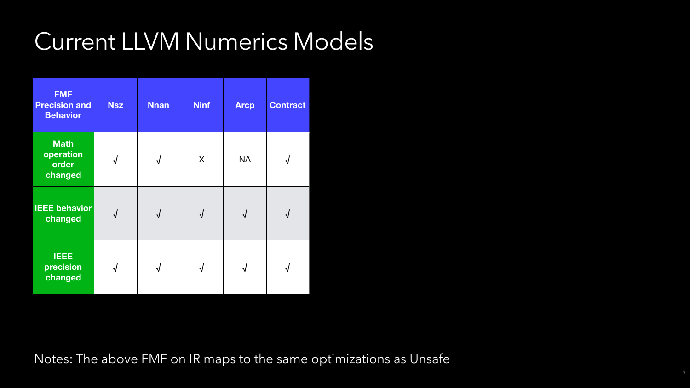| <b>FMF</b><br><b>Precision and</b><br><b>Behavior</b> | <b>Nsz</b> | <b>Nnan</b> | <b>Ninf</b> | <b>Arcp</b> | <b>Contract</b> |
|-------------------------------------------------------|------------|-------------|-------------|-------------|-----------------|
| <b>Math</b><br>operation<br>order<br>changed          | √          | $\sqrt{ }$  | X           | <b>NA</b>   | √               |
| <b>IEEE behavior</b><br>changed                       | $\bigvee$  | $\sqrt{}$   | $\sqrt{}$   | $\sqrt{2}$  | $\sqrt{}$       |
| <b>IEEE</b><br>precision<br>changed                   |            |             |             |             |                 |

7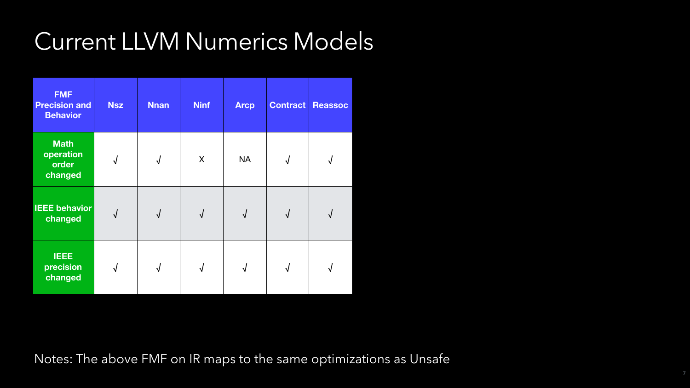| <b>FMF</b><br><b>Precision and</b><br><b>Behavior</b> | <b>Nsz</b> | <b>Nnan</b> | <b>Ninf</b> | <b>Arcp</b> | <b>Contract</b> | <b>Re</b> |
|-------------------------------------------------------|------------|-------------|-------------|-------------|-----------------|-----------|
| <b>Math</b><br>operation<br>order<br>changed          |            | $\sqrt{2}$  | X           | <b>NA</b>   |                 |           |
| <b>IEEE behavior</b><br>changed                       | $\bigvee$  | $\sqrt{}$   | $\sqrt{}$   | $\sqrt{}$   | $\sqrt{}$       |           |
| <b>IEEE</b><br>precision<br>changed                   |            |             |             |             |                 |           |



7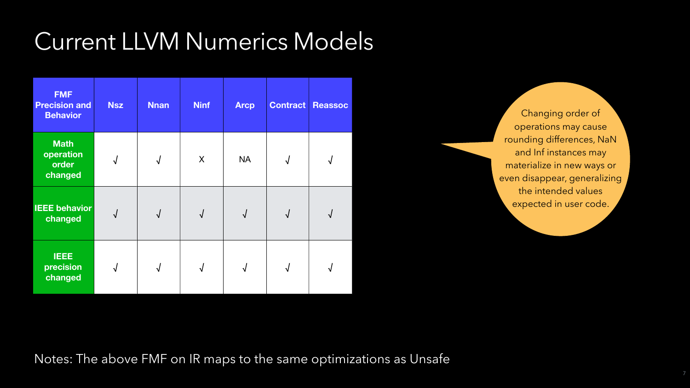| <b>FMF</b><br><b>Precision and</b><br><b>Behavior</b> | <b>Nsz</b> | <b>Nnan</b> | <b>Ninf</b> | <b>Arcp</b> | <b>Contract</b> | Reassoc                   |
|-------------------------------------------------------|------------|-------------|-------------|-------------|-----------------|---------------------------|
| <b>Math</b><br>operation<br>order<br>changed          | $\sqrt{ }$ | $\sqrt{ }$  | X           | <b>NA</b>   | $\sqrt{}$       | $\boldsymbol{\mathsf{V}}$ |
| <b>IEEE behavior</b><br>changed                       | $\sqrt{}$  | $\sqrt{ }$  | $\sqrt{ }$  | $\sqrt{2}$  | $\sqrt{ }$      | $\boldsymbol{\mathsf{v}}$ |
| <b>IEEE</b><br>precision<br>changed                   |            |             |             |             |                 |                           |

Changing order of operations may cause rounding differences, NaN and Inf instances may materialize in new ways or even disappear, generalizing the intended values expected in user code.

7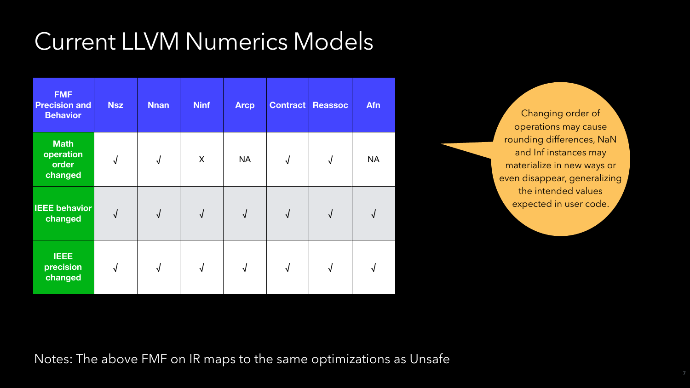| <b>FMF</b><br><b>Precision and</b><br><b>Behavior</b> | <b>Nsz</b> | <b>Nnan</b> | <b>Ninf</b> | <b>Arcp</b> | <b>Contract</b> | Reassoc    | <b>Afn</b>           |
|-------------------------------------------------------|------------|-------------|-------------|-------------|-----------------|------------|----------------------|
| <b>Math</b><br>operation<br>order<br>changed          | $\sqrt{2}$ | $\sqrt{2}$  | X           | <b>NA</b>   | $\sqrt{ }$      | $\sqrt{ }$ | <b>NA</b>            |
| <b>IEEE behavior</b><br>changed                       | $\sqrt{2}$ | $\sqrt{2}$  | $\sqrt{ }$  | $\sqrt{}$   | $\sqrt{2}$      |            | $\mathbf \mathsf{V}$ |
| <b>IEEE</b><br>precision<br>changed                   |            |             |             |             |                 |            |                      |

Changing order of operations may cause rounding differences, NaN and Inf instances may materialize in new ways or even disappear, generalizing the intended values expected in user code.

7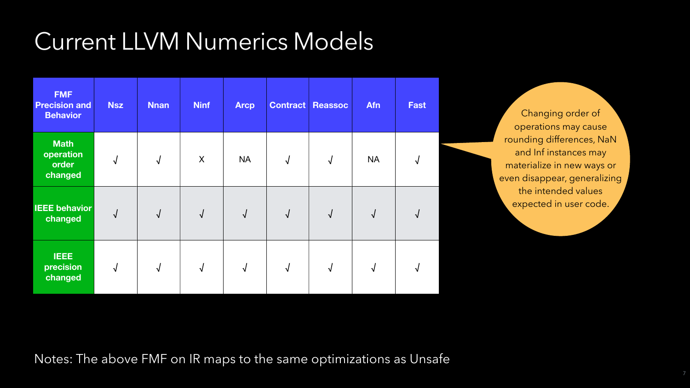| <b>FMF</b><br><b>Precision and</b><br><b>Behavior</b> | <b>Nsz</b> | <b>Nnan</b> | <b>Ninf</b> | <b>Arcp</b> |            | Contract Reassoc | <b>Afn</b> | <b>Fast</b>  |
|-------------------------------------------------------|------------|-------------|-------------|-------------|------------|------------------|------------|--------------|
| <b>Math</b><br>operation<br>order<br>changed          | $\sqrt{2}$ | $\sqrt{2}$  | X           | <b>NA</b>   | $\sqrt{ }$ | $\sqrt{2}$       | <b>NA</b>  | $\mathbf{v}$ |
| <b>IEEE behavior</b><br>changed                       | $\sqrt{}$  | $\sqrt{2}$  | $\sqrt{ }$  | $\sqrt{2}$  | $\sqrt{ }$ | $\sqrt{}$        | $\sqrt{2}$ | $\mathbf{v}$ |
| <b>IEEE</b><br>precision<br>changed                   |            |             |             |             |            |                  |            |              |

Changing order of operations may cause rounding differences, NaN and Inf instances may materialize in new ways or even disappear, generalizing the intended values expected in user code.

7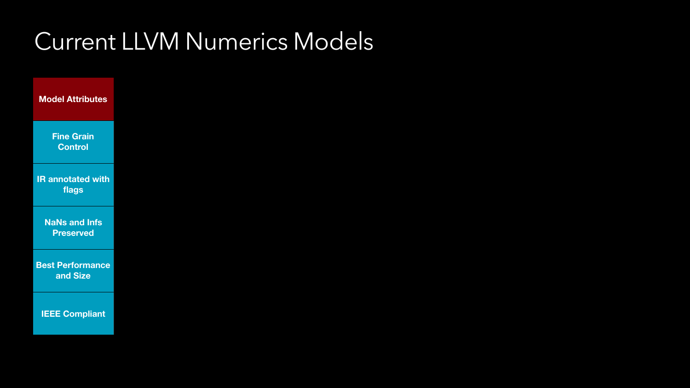**Model Attributes**

**Fine Grain Control**

**IR annotated with flags**

**NaNs and Infs Preserved**

**Best Performance and Size**

**IEEE Compliant**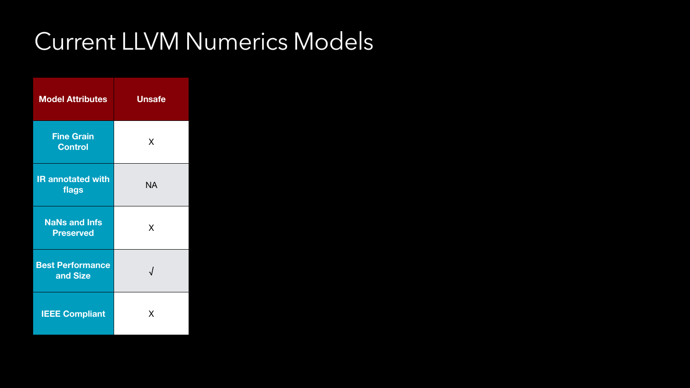| <b>Model Attributes</b>                  | <b>Unsafe</b> |
|------------------------------------------|---------------|
| <b>Fine Grain</b><br><b>Control</b>      | X             |
| <b>IR annotated with</b><br>flags        | <b>NA</b>     |
| <b>NaNs and Infs</b><br><b>Preserved</b> | X             |
| <b>Best Performance</b><br>and Size      |               |
| <b>IEEE Compliant</b>                    | X             |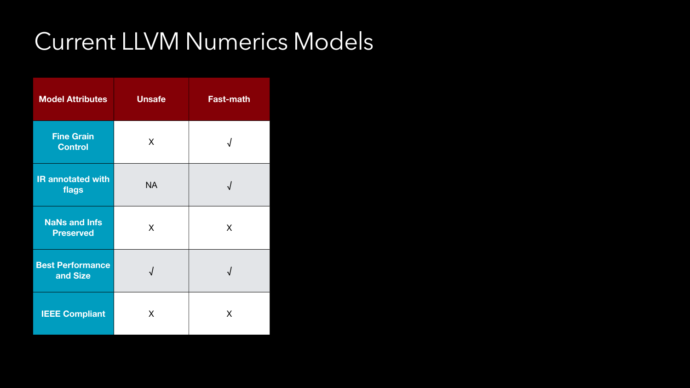| <b>Model Attributes</b>                  | <b>Unsafe</b> | <b>Fast-math</b> |
|------------------------------------------|---------------|------------------|
| <b>Fine Grain</b><br><b>Control</b>      | X             |                  |
| <b>IR annotated with</b><br>flags        | <b>NA</b>     |                  |
| <b>NaNs and Infs</b><br><b>Preserved</b> | X             | X                |
| <b>Best Performance</b><br>and Size      |               |                  |
| <b>IEEE Compliant</b>                    | X             | X                |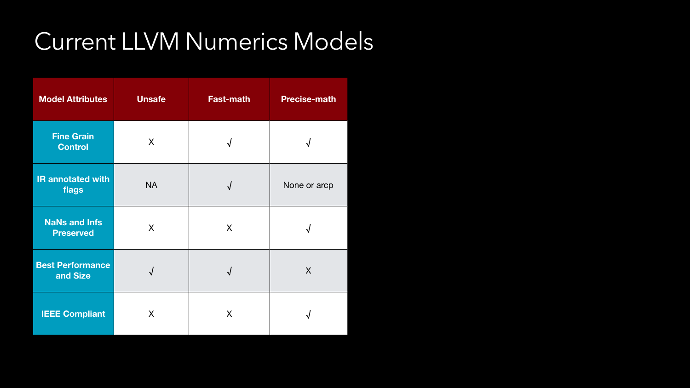| <b>Model Attributes</b>                  | Unsafe    | <b>Fast-math</b> | <b>Precise-math</b> |
|------------------------------------------|-----------|------------------|---------------------|
| <b>Fine Grain</b><br><b>Control</b>      | X         | $\sqrt{ }$       |                     |
| <b>IR annotated with</b><br>flags        | <b>NA</b> | $\sqrt{ }$       | None or arcp        |
| <b>NaNs and Infs</b><br><b>Preserved</b> | X         | X                | N                   |
| Best Performance<br>and Size             |           |                  | X                   |
| <b>IEEE Compliant</b>                    | X         | X                |                     |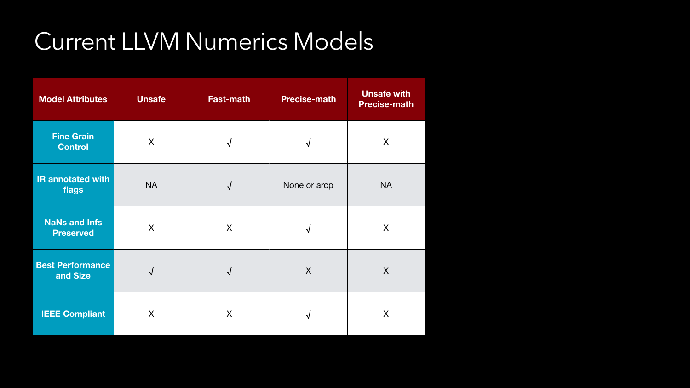| <b>Model Attributes</b>                  | <b>Unsafe</b> | <b>Fast-math</b>     | <b>Precise-math</b> | <b>Unsafe with</b><br><b>Precise-math</b> |
|------------------------------------------|---------------|----------------------|---------------------|-------------------------------------------|
| <b>Fine Grain</b><br><b>Control</b>      | X             | $\mathbf v$          | $\sqrt{}$           | X                                         |
| <b>IR annotated with</b><br>flags        | <b>NA</b>     | $\mathbf \mathsf{V}$ | None or arcp        | <b>NA</b>                                 |
| <b>NaNs and Infs</b><br><b>Preserved</b> | $\sf X$       | X                    |                     | X                                         |
| <b>Best Performance</b><br>and Size      |               |                      | X                   | X                                         |
| <b>IEEE Compliant</b>                    | X             | X                    |                     | X                                         |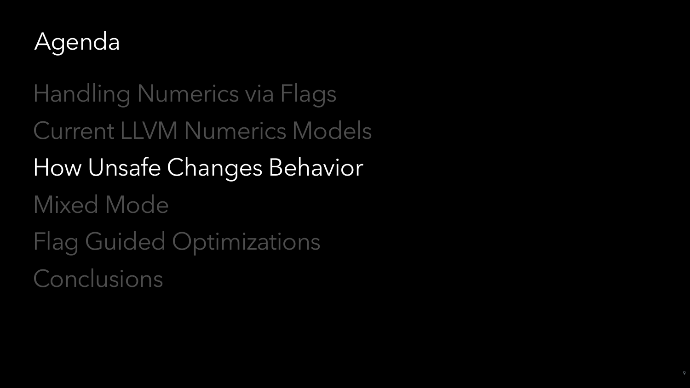

Handling Numerics via Flags Current LLVM Numerics Models How Unsafe Changes Behavior Mixed Mode Flag Guided Optimizations Conclusions

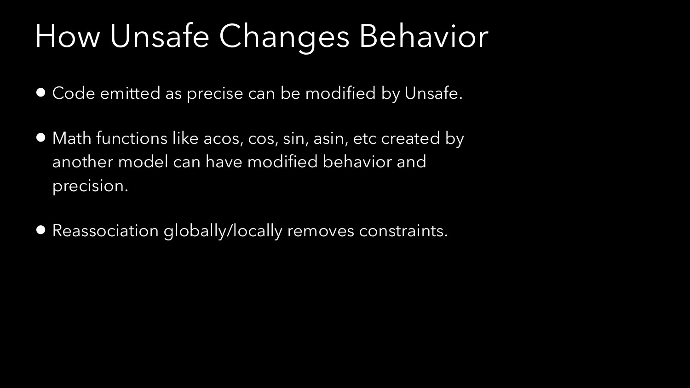- Code emitted as precise can be modified by Unsafe.
- Math functions like acos, cos, sin, asin, etc created by another model can have modified behavior and precision.
- Reassociation globally/locally removes constraints.

# How Unsafe Changes Behavior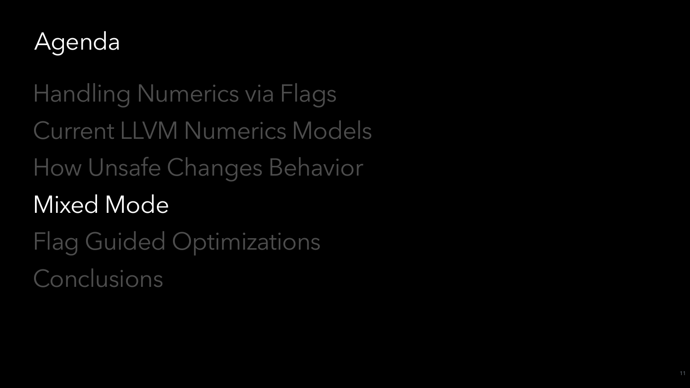

Handling Numerics via Flags Current LLVM Numerics Models How Unsafe Changes Behavior Mixed Mode Flag Guided Optimizations Conclusions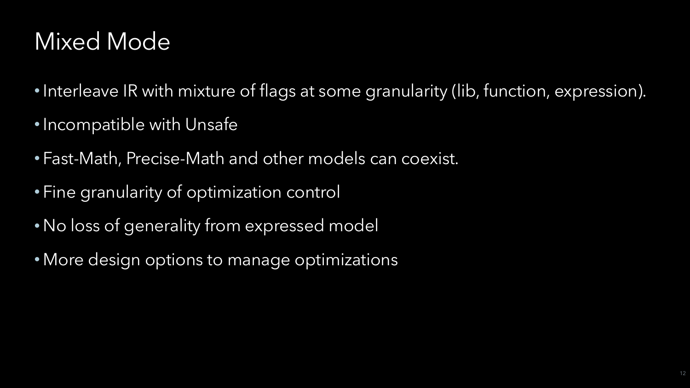## Mixed Mode

- 
- Incompatible with Unsafe
- Fast-Math, Precise-Math and other models can coexist.
- Fine granularity of optimization control
- No loss of generality from expressed model
- More design options to manage optimizations

• Interleave IR with mixture of flags at some granularity (lib, function, expression).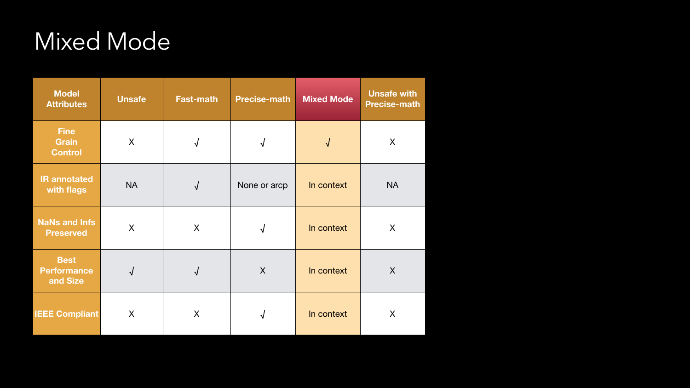| <b>Model</b><br><b>Attributes</b>             | <b>Unsafe</b> | <b>Fast-math</b> | <b>Precise-math</b> | <b>Mixed Mode</b> | <b>Unsafe with</b><br><b>Precise-math</b> |
|-----------------------------------------------|---------------|------------------|---------------------|-------------------|-------------------------------------------|
| <b>Fine</b><br><b>Grain</b><br><b>Control</b> | X             |                  | $\bigvee$           |                   | X                                         |
| <b>IR annotated</b><br>with flags             | <b>NA</b>     | $\sqrt{2}$       | None or arcp        | In context        | <b>NA</b>                                 |
| <b>NaNs and Infs</b><br><b>Preserved</b>      | X             | X                |                     | In context        | X                                         |
| <b>Best</b><br><b>Performance</b><br>and Size |               |                  | X                   | In context        | X                                         |
| <b>IEEE Compliant</b>                         | X             | X                |                     | In context        | X                                         |

## Mixed Mode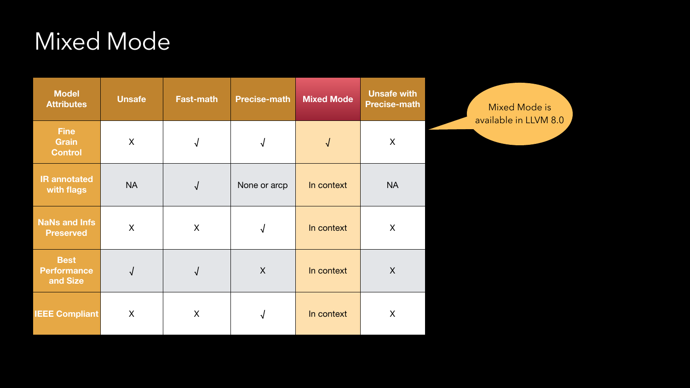| <b>Model</b><br><b>Attributes</b>             | <b>Unsafe</b> | <b>Fast-math</b> | <b>Precise-math</b> | <b>Mixed Mode</b> | <b>Unsafe with</b><br><b>Precise-math</b> | Mixed Mode is<br>available in LLVM 8.0 |
|-----------------------------------------------|---------------|------------------|---------------------|-------------------|-------------------------------------------|----------------------------------------|
| <b>Fine</b><br><b>Grain</b><br><b>Control</b> | X             | $\mathbf v$      |                     |                   | X                                         |                                        |
| <b>IR annotated</b><br>with flags             | <b>NA</b>     | $\sqrt{ }$       | None or arcp        | In context        | <b>NA</b>                                 |                                        |
| <b>NaNs and Infs</b><br><b>Preserved</b>      | X             | X                |                     | In context        | X                                         |                                        |
| <b>Best</b><br>Performance<br>and Size        |               |                  | X                   | In context        | X                                         |                                        |
| <b>IEEE Compliant</b>                         | X             | X                |                     | In context        | X                                         |                                        |

## Mixed Mode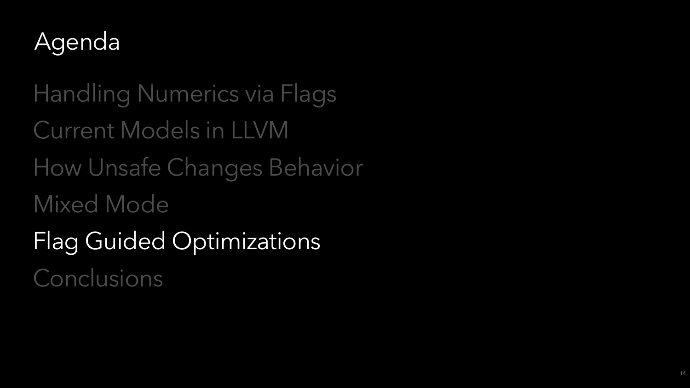

Handling Numerics via Flags Current Models in LLVM How Unsafe Changes Behavior Mixed Mode Flag Guided Optimizations Conclusions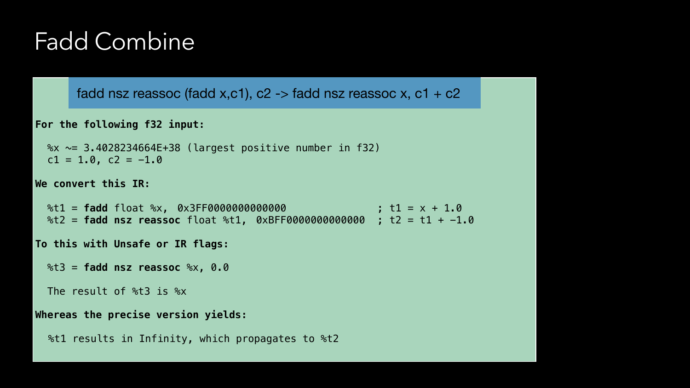**For the following f32 input:** 

 %x ~= 3.4028234664E+38 (largest positive number in f32)  $c1 = 1.0$ ,  $c2 = -1.0$ 

**We convert this IR:** 

 %t1 = **fadd** float %x, 0x3FF0000000000000 ; t1 = x + 1.0 %t2 = **fadd nsz reassoc** float %t1, 0xBFF0000000000000 ; t2 = t1 + -1.0

**To this with Unsafe or IR flags:** 

%t3 = **fadd nsz reassoc** %x, 0.0

The result of %t3 is %x

#### **Whereas the precise version yields:**

%t1 results in Infinity, which propagates to %t2

### Fadd Combine

#### fadd nsz reassoc (fadd x,c1),  $c2 \rightarrow$  fadd nsz reassoc x,  $c1 + c2$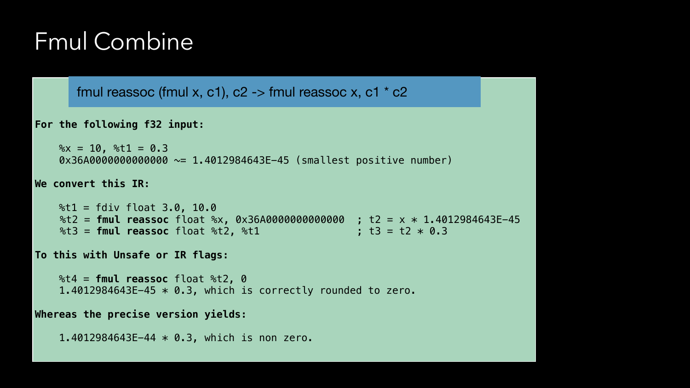#### **For the following f32 input:**

 $\text{Rx} = 10$ ,  $\text{Rt1} = 0.3$ 0x36A0000000000000 ~= 1.4012984643E−45 (smallest positive number)

#### **We convert this IR:**

 $\text{{\char'134}}$  = fdiv float 3.0, 10.0 %t2 = **fmul reassoc** float %x, 0x36A0000000000000 ; t2 = x \* 1.4012984643E−45  $\text{{\%t3 = fund reassoc float \%t2, \%t1} \quad \text{{\%t3 = t2 * 0.3}}$ 

#### **To this with Unsafe or IR flags:**

 %t4 = **fmul reassoc** float %t2, 0 1.4012984643E−45 \* 0.3, which is correctly rounded to zero.

#### **Whereas the precise version yields:**

1.4012984643E−44 \* 0.3, which is non zero.

### Fmul Combine

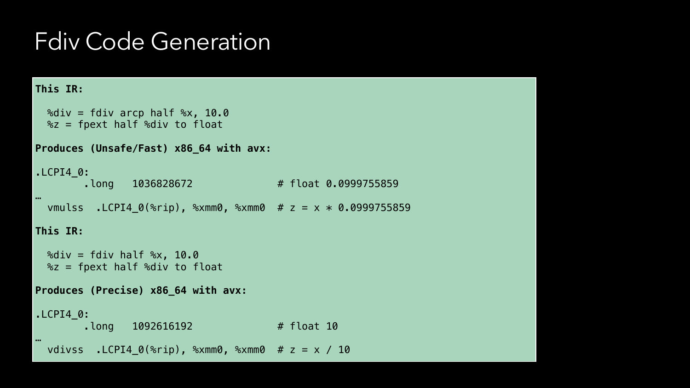```
This IR: 
  \%div = fdiv \; arcp \; half \; \frac{10.0}{10}\text{Sz} = \text{fnext half } \text{Sdiv to float}Produces (Unsafe/Fast) x86_64 with avx: 
.LCPI4_0: 
          .long 1036828672 # float 0.0999755859 
… 
  vmulss .LCPI4_0(%rip), %xmm0, %xmm0 # z = x * 0.0999755859This IR: 
  %div = fdiv half %x, 10.0\text{Sz} = \text{fnext half } \text{Sdiv to float}Produces (Precise) x86_64 with avx: 
.LCPI4_0: 
         .long 1092616192  # float 10
… 
   vdivss .LCPI4_0(%rip), %xmm0, %xmm0 # z = x / 10
```
### Fdiv Code Generation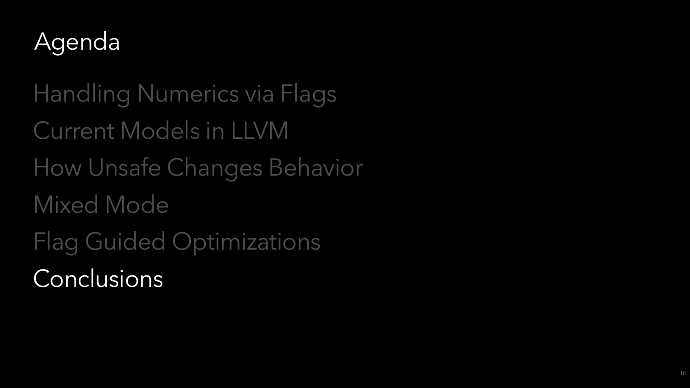

Handling Numerics via Flags Current Models in LLVM How Unsafe Changes Behavior Mixed Mode Flag Guided Optimizations Conclusions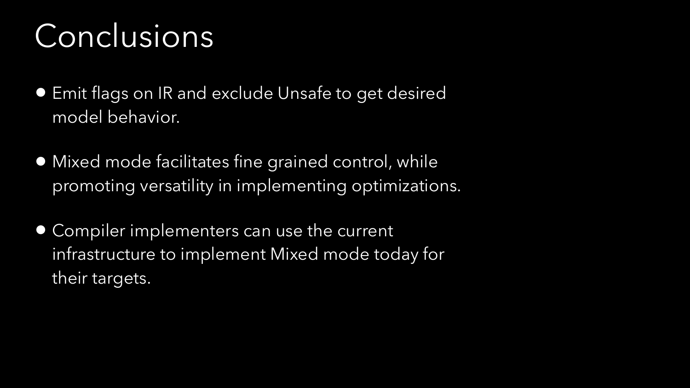- Emit flags on IR and exclude Unsafe to get desired model behavior.
- Mixed mode facilitates fine grained control, while promoting versatility in implementing optimizations.
- Compiler implementers can use the current infrastructure to implement Mixed mode today for their targets.

# Conclusions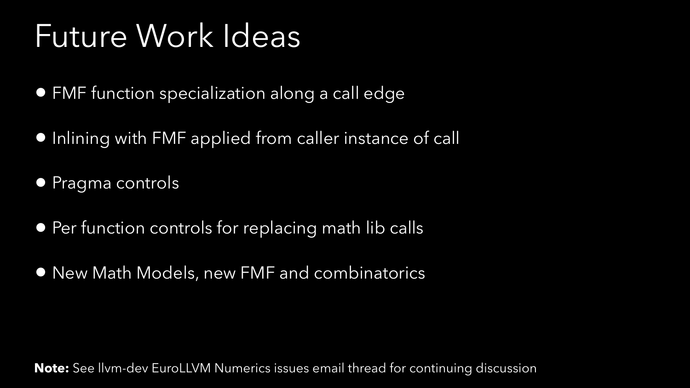- FMF function specialization along a call edge
- Inlining with FMF applied from caller instance of call
- Pragma controls
- Per function controls for replacing math lib calls
- New Math Models, new FMF and combinatorics

# Future Work Ideas

**Note:** See llvm-dev EuroLLVM Numerics issues email thread for continuing discussion